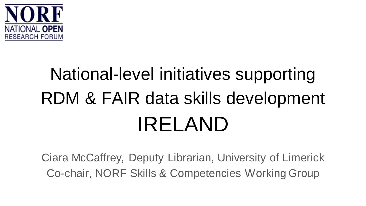

## National-level initiatives supporting RDM & FAIR data skills development IRELAND

Ciara McCaffrey, Deputy Librarian, University of Limerick Co-chair, NORF Skills & Competencies Working Group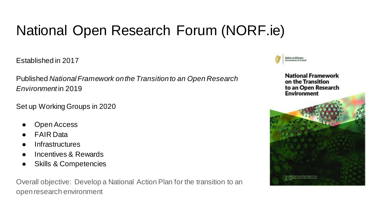### National Open Research Forum (NORF.ie)

Established in 2017

Published *National Framework on the Transition to an Open Research Environment* in 2019

Set up Working Groups in 2020

- Open Access
- **FAIR Data**
- **Infrastructures**
- Incentives & Rewards
- **Skills & Competencies**

Overall objective: Develop a National Action Plan for the transition to an open research environment

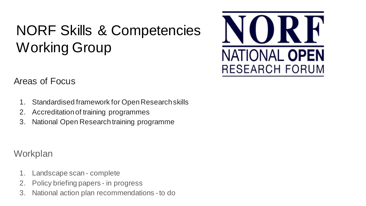## NORF Skills & Competencies Working Group



Areas of Focus

- 1. Standardised framework for Open Research skills
- 2. Accreditation of training programmes
- 3. National Open Research training programme

**Workplan** 

- 1. Landscape scan complete
- 2. Policy briefing papers in progress
- 3. National action plan recommendations -to do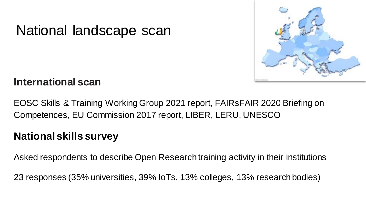

#### National landscape scan

#### **International scan**

EOSC Skills & Training Working Group 2021 report, FAIRsFAIR 2020 Briefing on Competences, EU Commission 2017 report, LIBER, LERU, UNESCO

#### **National skills survey**

Asked respondents to describe Open Research training activity in their institutions

23 responses (35% universities, 39% IoTs, 13% colleges, 13% research bodies)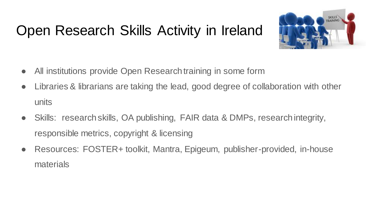### Open Research Skills Activity in Ireland



- All institutions provide Open Research training in some form
- Libraries & librarians are taking the lead, good degree of collaboration with other units
- Skills: research skills, OA publishing, FAIR data & DMPs, research integrity, responsible metrics, copyright & licensing
- Resources: FOSTER+ toolkit, Mantra, Epigeum, publisher-provided, in-house materials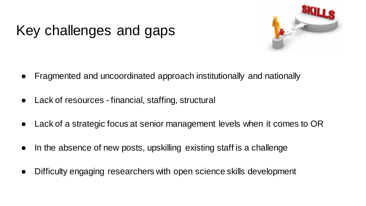### Key challenges and gaps



- Fragmented and uncoordinated approach institutionally and nationally
- Lack of resources financial, staffing, structural
- Lack of a strategic focus at senior management levels when it comes to OR
- In the absence of new posts, upskilling existing staff is a challenge
- Difficulty engaging researchers with open science skills development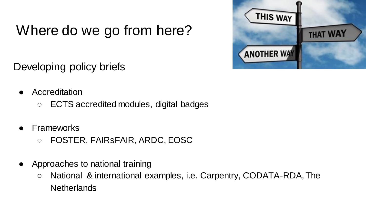### Where do we go from here?

Developing policy briefs

- **Accreditation** 
	- ECTS accredited modules, digital badges
- **Frameworks** 
	- FOSTER, FAIRsFAIR, ARDC, EOSC
- Approaches to national training
	- National & international examples, i.e. Carpentry, CODATA-RDA, The **Netherlands**